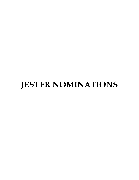# **JESTER NOMINATIONS**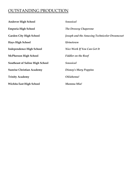# OUTSTANDING PRODUCTION

| <b>Andover High School</b>             | <b>Seussical</b>                             |
|----------------------------------------|----------------------------------------------|
| Emporia High School                    | The Drowsy Chaperone                         |
| <b>Garden City High School</b>         | Joseph and the Amazing Technicolor Dreamcoat |
| <b>Hays High School</b>                | Urinetown                                    |
| Independence High School               | Nice Work If You Can Get It                  |
| <b>McPherson High School</b>           | <b>Fiddler on the Roof</b>                   |
| <b>Southeast of Saline High School</b> | <b>Seussical</b>                             |
| <b>Sunrise Christian Academy</b>       | Disney's Mary Poppins                        |
| <b>Trinity Academy</b>                 | Oklahoma!                                    |
| Wichita East High School               | Mamma Mia!                                   |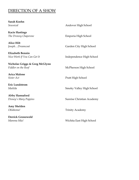# DIRECTION OF A SHOW

| <b>Sarah Koehn</b>                        |                           |
|-------------------------------------------|---------------------------|
| Seussical                                 | Andover High School       |
| <b>Kacie Hastings</b>                     |                           |
| The Drowsy Chaperone                      | Emporia High School       |
| <b>Alice Hilt</b>                         |                           |
| JosephDreamcoat                           | Garden City High School   |
| <b>Elizabeth Bennin</b>                   |                           |
| Nice Work If You Can Get It               | Independence High School  |
| <b>Nicholas Griggs &amp; Greg McGlynn</b> |                           |
| Fiddler on the Roof                       | McPherson High School     |
| <b>Arica Malone</b>                       |                           |
| Sister Act                                | Pratt High School         |
| <b>Eric Lundstrom</b>                     |                           |
| Matilda                                   | Smoky Valley High School  |
| Abby Hannaford                            |                           |
| Disney's Mary Poppins                     | Sunrise Christian Academy |
| Amy Shelden                               |                           |
| Oklahoma!                                 | <b>Trinity Academy</b>    |
| <b>Derrick Gronewold</b>                  |                           |
| Mamma Mia!                                | Wichita East High School  |
|                                           |                           |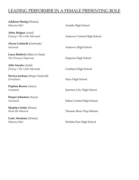## LEADING PERFORMER IN A FEMALE PRESENTING ROLE

**Addison Hurtig** (Donna)

**Abby Holgen** (Ariel)

**Alyssa Linhardt** (Gertrude) *Seussical* Andover High School

**Laura Baldwin** (Man in Chair) **The Drowsy Chaperone Emporia High School** 

**Allie Snyder** (Ariel)

**Devlyn Jochum** (Hope Cladwell) *Urinetown* Hays High School

**Daphne Brown** (Anya)

**Harper Johnston** (Anya)

**Madelyn Seiler** (Fiona)

**Cami Abraham** (Donna)

*Mamma Mia!* Andale High School *Disney's The Little Mermaid* Andover Central High School *Disney's The Little Mermaid* **Goddard High School** *Anastasia* Junction City High School *Anastasia* Salina Central High School *Shrek the Musical* Thomas More Prep-Marian *Mamma Mia!* Wichita East High School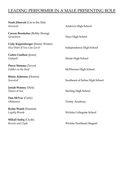## LEADING PERFORMER IN A MALE PRESENTING ROLE

**Noah Jittawait** (Cat in the Hat) *Seussical* Andover High School **Carson Brooksher** (Bobby Strong) *Urinetown* Hays High School **Cody Kippenberger** (Jimmy Winter) *Nice Work If You Can Get It* **Independence High School Caden Cauthon** (Jesus) *Godspell* Mazie High School **Pierce Hamma** (Tevye) *Fiddler on the Roof* McPherson High School **Blaise Alderson** (Horton) **Seussical** Seussical Southeast of Saline High School **Josiah Watney** (Dick) *Dames at Sea* Sterling High School **Dan McVay** (Curly) *Oklahoma!* Trinity Academy **Ryder Walsh** (Emmett) *Legally Blonde* Wichita Collegiate School **Mikail Sadiq** (Clyde) *Bonnie and Clyde* Wichita Northeast Magnet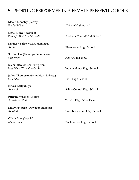## SUPPORTING PERFORMER IN A FEMALE PRESENTING ROLE

| <b>Maren Meneley (Torrey)</b>               |                             |
|---------------------------------------------|-----------------------------|
| Freaky Friday                               | Abilene High School         |
| Liesel Dewalt (Ursula)                      |                             |
| Disney's The Little Mermaid                 | Andover Central High School |
| <b>Madison Palmer</b> (Miss Hannigan)       |                             |
| Annie                                       | Eisenhower High School      |
| <b>Shirley Lee</b> (Penelope Pennywise)     |                             |
| Urinetown                                   | Hays High School            |
| Kiara Islam (Eileen Evergreen)              |                             |
| Nice Work If You Can Get It                 | Independence High School    |
| <b>Jadyn Thompson</b> (Sister Mary Roberts) |                             |
| Sister Act                                  | Pratt High School           |
| <b>Emma Kelly (Lily)</b>                    |                             |
| Anastasia                                   | Salina Central High School  |
| Patience Wagner (Shulie)                    |                             |
| Schoolhouse Rock                            | Topeka High School West     |
| <b>Molly Peterson</b> (Dowager Empress)     |                             |
| Anastasia                                   | Washburn Rural High School  |
| <b>Olivia Prue</b> (Sophie)                 |                             |
| Mamma Mia!                                  | Wichita East High School    |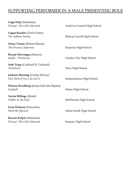# SUPPORTING PERFORMER IN A MALE PRESENTING ROLE

| <b>Gage Patty (Sebastian)</b>            |                                   |
|------------------------------------------|-----------------------------------|
| Disney's The Little Mermaid              | Andover Central High School       |
| Logan Rosales (Uncle Fester)             |                                   |
| The Addams Family                        | <b>Bishop Carroll High School</b> |
| <b>Orion Turner</b> (Robert Martin)      |                                   |
| The Drowsy Chaperone                     | Emporia High School               |
| <b>Bryant Detvongsa (Simeon)</b>         |                                   |
| JosephDreamcoat                          | Garden City High School           |
| <b>Seth Tripp</b> (Caldwell B. Cladwell) |                                   |
| Urinetown                                | Hays High School                  |
| <b>Jackson Horning (Cookie McGee)</b>    |                                   |
| Nice Work If You Can Get It              | Independence High School          |
| Warren Swedberg (Judas/John the Baptist) |                                   |
| Godspell                                 | Maize High School                 |
| Xavier Billings (Motel)                  |                                   |
| Fiddler on the Roof                      | McPherson High School             |
| Evan Dickson (Pinocchio)                 |                                   |
| <b>Shrek the Musical</b>                 | Salina South High School          |
| Rowan Kelpin (Sebastian)                 |                                   |
| Disney's The Little Mermaid              | Seaman High School                |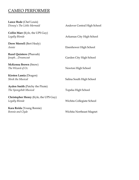#### CAMEO PERFORMER

**Lance Bode** (Chef Louis)

**Collin Marr** (Kyle, the UPS Guy) Legally Blonde **Arkansas City High School** 

**Drew Merrell** (Bert Healy) *Annie* Eisenhower High School

**Razel Quintero** (Pharoah) *Joseph...Dreamcoat* Garden City High School

**McKenna Brown** (Snow) **The Wizard of Oz** Newton High School

**Kirsten Lamia** (Dragon)

**Ayden Smith** (Patchy the Pirate) *The Spongebob Musical* Topeka High School

**Christopher Henry** (Kyle, the UPS Guy) *Legally Blonde* Wichita Collegiate School

**Kara Reida** (Young Bonnie) *Bonnie and Clyde* Wichita Northeast Magnet

*Disney's The Little Mermaid* Andover Central High School

**Shrek the Musical** Shrek the Musical Salina South High School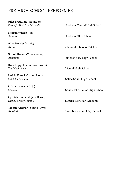## PRE-HIGH SCHOOL PERFORMER

**Julia Brouillete** (Flounder)

**Keegan Wilson** (Jojo)

**Skye Neisler** (Annie)

**Shiloh Brown** (Young Anya) *Anastasia* Junction City High School

**Bren Kappelmann** (Winthropp) **The Music Man Liberal High School** 

**Larkin French** (Young Fiona) **Shrek the Musical** Shrek the Musical School Salina South High School

**Olivia Swenson** (Jojo)

**Cyleigh Lindsted** (Jane Banks) *Disney's Mary Poppins* Sunrise Christian Academy

**Tereah Widman** (Young Anya) *Anastasia* Washburn Rural High School

*Disney's The Little Mermaid* Andover Central High School

*Seussical* Andover High School

*Annie* Classical School of Wichita

**Seussical** Seussical Southeast of Saline High School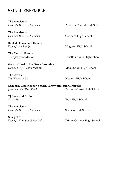#### SMALL ENSEMBLE

**The Mersisters** 

**The Mersisters** *Disney's The Little Mermaid* **Goddard High School** 

**Babkak, Omar, and Kassim** *Disney's Aladdin Jr.* **Hugoton High School** 

**The Electric Skaters**

**Get'cha Head in the Game Ensemble** *Disney's High School Musical* Maize South High School

**The Crows**

**Ladybug, Grasshopper, Spider, Earthworm, and Centipede** *James and the Giant Peach* Peabody-Burns High School

**TJ, Joey, and Pablo Sister Act** Pratt High School

**The Mersisters** *Disney's The Little Mermaid* Seaman High School

**Sharpettes** *Disney's High School Musical 2* Trinity Catholic High School

*Disney's The Little Mermaid* Andover Central High School

*The Spongebob Musical* Labette County High School

*The Wizard of Oz* Newton High School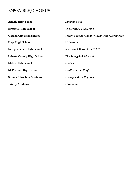## ENSEMBLE/CHORUS

| <b>Andale High School</b>         | Mamma Mia!                                   |
|-----------------------------------|----------------------------------------------|
| <b>Emporia High School</b>        | The Drowsy Chaperone                         |
| <b>Garden City High School</b>    | Joseph and the Amazing Technicolor Dreamcoat |
| <b>Hays High School</b>           | Urinetown                                    |
| <b>Independence High School</b>   | Nice Work If You Can Get It                  |
| <b>Labette County High School</b> | The Spongebob Musical                        |
| <b>Maize High School</b>          | Godspell                                     |
| <b>McPherson High School</b>      | <b>Fiddler on the Roof</b>                   |
| <b>Sunrise Christian Academy</b>  | <b>Disney's Mary Poppins</b>                 |
| <b>Trinity Academy</b>            | Oklahoma!                                    |
|                                   |                                              |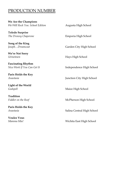#### PRODUCTION NUMBER

**We Are the Champions** *We Will Rock You: School Edition* Augusta High School

**Toledo Surprise The Drowsy Chaperone Emporia High School** 

**Song of the King**

**We're Not Sorry**

**Fascinating Rhythm**

**Paris Holds the Key**

**Light of the World** 

**Tradition**

**Paris Holds the Key**

**Voulez Vous** 

Joseph...Dreamcoat Garden City High School

*Urinetown* Hays High School

*Nice Work If You Can Get It* **Independence High School** 

*Anastasia* Junction City High School

*Godspell* Maize High School

Fiddler on the Roof **McPherson High School** 

*Anastasia* Salina Central High School

*Mamma Mia!* Wichita East High School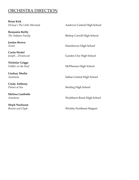#### ORCHESTRA DIRECTION

**Brian Kirk**

**Benjamin Reilly** 

**Jordan Brown**

**Curtis Wedel**

**Nicholas Griggs**

**Lindsay Modin**

**Cindy Anthony**

**Melissa Lambotte**

**Steph Nusbaum**

*Disney's The Little Mermaid* Andover Central High School *The Addams Family* **Bishop Carroll High School** *Annie* Eisenhower High School Joseph...Dreamcoat Garden City High School Fiddler on the Roof **McPherson High School** *Anastasia* Salina Central High School **Dames at Sea** Sterling High School *Anastasia* Washburn Rural High School *Bonnie and Clyde* Wichita Northeast Magnet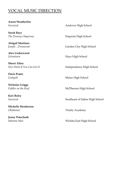## VOCAL MUSIC DIRECTION

**Aaron Weatherbie**

**Sarah Bays** 

**Abigail Martinez**

**Alex Underwood**

**Sherri Allen** *Nice Work If You Can Get It* **Independence High School** 

**Doris Prater**

**Nicholas Griggs**

**Keri Boley**

**Michelle Henderson** *Oklahoma!* Trinity Academy

**Jenny Potochnik**

*Seussical* Andover High School

**The Drowsy Chaperone** Emporia High School

*Joseph...Dreamcoat* Garden City High School

*Urinetown* Hays High School

*Godspell* Maize High School

Fiddler on the Roof **McPherson High School** 

**Seussical** Southeast of Saline High School

*Mamma Mia!* Wichita East High School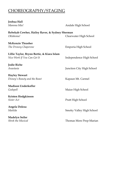# CHOREOGRAPHY/STAGING

| Joshua Hall                                    |                           |
|------------------------------------------------|---------------------------|
| Mamma Mia!                                     | Andale High School        |
| Rebekah Cowher, Hailey Raver, & Sydney Sherman |                           |
| Oklahoma!                                      | Clearwater High School    |
| <b>McKenzie Thrasher</b>                       |                           |
| The Drowsy Chaperone                           | Emporia High School       |
| Lillie Taylor, Brynn Bertie, & Kiara Islam     |                           |
| Nice Work If You Can Get It                    | Independence High School  |
| Jodie Riche                                    |                           |
| Anastasia                                      | Junction City High School |
| <b>Hayley Stewart</b>                          |                           |
| Disney's Beauty and the Beast                  | Kapaun Mt. Carmel         |
| Madison Underkofler                            |                           |
| Godspell                                       | Maize High School         |
| Kristen Hodgkinson                             |                           |
| Sister Act                                     | Pratt High School         |
| Angela Doleza                                  |                           |
| Matilda                                        | Smoky Valley High School  |
| <b>Madelyn Seiler</b>                          |                           |
| <b>Shrek the Musical</b>                       | Thomas More Prep-Marian   |
|                                                |                           |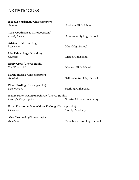# ARTISTIC GUEST

| Isabella Vardaman (Choreography)<br>Seussical                         | Andover High School         |
|-----------------------------------------------------------------------|-----------------------------|
| <b>Tara Woodmansee (Choreography)</b><br>Legally Blonde               | Arkansas City High School   |
| <b>Adrian Rifat (Directing)</b><br>Urinetown                          | Hays High School            |
| Lisa Paine (Stage Direction)<br>Godspell                              | Maize High School           |
| <b>Emily Crow</b> (Choreography)<br>The Wizard of Oz                  | Newton High School          |
| Karen Brassea (Choreography)<br>Anastasia                             | Salina Central High School  |
| <b>Piper Harding (Choreography)</b><br>Dames at Sea                   | <b>Sterling High School</b> |
| Hailey Stine & Allison Schwab (Choreography)<br>Disney's Mary Poppins | Sunrise Christian Academy   |
| Ethan Harmon & Stevie Mack Furlong (Choreography)<br>Oklahoma!        | <b>Trinity Academy</b>      |
| Alex Castaneda (Choreography)<br>Anastasia                            | Washburn Rural High School  |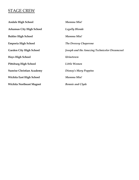## STAGE CREW

| <b>Andale High School</b>        | Mamma Mia!                                   |
|----------------------------------|----------------------------------------------|
| <b>Arkansas City High School</b> | <b>Legally Blonde</b>                        |
| <b>Buhler High School</b>        | Mamma Mia!                                   |
| <b>Emporia High School</b>       | The Drowsy Chaperone                         |
| <b>Garden City High School</b>   | Joseph and the Amazing Technicolor Dreamcoat |
| <b>Hays High School</b>          | Urinetown                                    |
| <b>Pittsburg High School</b>     | Little Women                                 |
| <b>Sunrise Christian Academy</b> | Disney's Mary Poppins                        |
| <b>Wichita East High School</b>  | Mamma Mia!                                   |
| <b>Wichita Northeast Magnet</b>  | <b>Bonnie and Clyde</b>                      |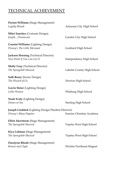# TECHNICAL ACHIEVEMENT

| Peyton Williams (Stage Management)<br>Legally Blonde                        | Arkansas City High School   |
|-----------------------------------------------------------------------------|-----------------------------|
| Mitzi Sanchez (Costume Design)<br>JosephDreamcoat                           | Garden City High School     |
| Courtni Williams (Lighting Design)<br>Disney's The Little Mermaid           | Goddard High School         |
| <b>Jackson Horning</b> (Technical Director)<br>Nice Work If You Can Get It  | Independence High School    |
| <b>Molly Gray</b> (Technical Director)<br>The Spongebob Musical             | Labette County High School  |
| <b>Seth Bruey (Scenic Design)</b><br>The Wizard of Oz                       | Newton High School          |
| <b>Gavin Steier</b> (Lighting Design)<br>Little Women                       | Pittsburg High School       |
| <b>Noah Svaty</b> (Lighting Design)<br>Dames at Sea                         | <b>Sterling High School</b> |
| Joseph Lindsted (Lighting Design/Student Director)<br>Disney's Mary Poppins | Sunrise Christian Academy   |
| <b>Elliot Akerstrom (Stage Management)</b><br>The Spongebob Musical         | Topeka West High School     |
| Kiya Lohman (Stage Management)<br>The Spongebob Musical                     | Topeka West High School     |
| Daralynn Rhode (Stage Management)<br>Bonnie and Clyde                       | Wichita Northeast Magnet    |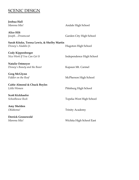# **SCENIC DESIGN**

| Joshua Hall                                 |                          |
|---------------------------------------------|--------------------------|
| Mamma Mia!                                  | Andale High School       |
| <b>Alice Hilt</b>                           |                          |
| JosephDreamcoat                             | Garden City High School  |
| Sarah Kitzke, Teresa Lewis, & Shelby Martin |                          |
| Disney's Aladdin Jr.                        | Hugoton High School      |
| Cody Kippenberger                           |                          |
| Nice Work If You Can Get It                 | Independence High School |
| <b>Natalie Ostmeyer</b>                     |                          |
| Disney's Beauty and the Beast               | Kapaun Mt. Carmel        |
| <b>Greg McGlynn</b>                         |                          |
| Fiddler on the Roof                         | McPherson High School    |
| Caitie Almond & Chuck Boyles                |                          |
| Little Women                                | Pittsburg High School    |
| <b>Scott Kickhaefer</b>                     |                          |
| Schoolhouse Rock                            | Topeka West High School  |
| Amy Shelden                                 |                          |
| Oklahoma!                                   | <b>Trinity Academy</b>   |
| <b>Derrick Gronewold</b>                    |                          |
| Mamma Mia!                                  | Wichita High School East |
|                                             |                          |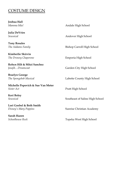## COSTUME DESIGN

**Joshua Hall**

**Julia DeVries** 

**Tony Rosales**

**Kimberlie Skirvin**

**Robyn Hilt & Mitzi Sanchez** *Joseph...Dreamcoat* Garden City High School

**Braelyn George**

**Michelle Popovich & Sue Van Meter Sister Act** Pratt High School

**Keri Boley**

**Lori Goebel & Beth Smith**

**Sarah Hazen**

*Mamma Mia!* Andale High School

*Seussical* Andover High School

**The Addams Family Bishop Carroll High School** 

**The Drowsy Chaperone Emporia High School** 

*The Spongebob Musical* Labette County High School

**Seussical** Southeast of Saline High School

*Disney's Mary Poppins* Sunrise Christian Academy

*Schoolhouse Rock* Topeka West High School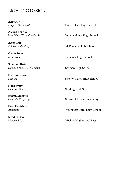## LIGHTING DESIGN

**Alice Hilt**

**Alayna Bennin** 

**Alora Carr**

**Gavin Steier** 

**Shannon Barta** *Disney's The Little Mermaid* Seaman High School

**Eric Lundstorm**

**Noah Svaty**

**Joseph Lindsted**

**Evan Davidson**

**Jarod Hudson** 

Joseph...Dreamcoat Garden City High School

*Nice Work If You Can Get It* **Independence High School** 

Fiddler on the Roof **McPherson High School** 

*Little Women* Pittsburg High School

*Matilda* Smoky Valley High School

**Dames at Sea** Sterling High School

*Disney's Mary Poppins* Sunrise Christian Academy

*Anastasia* Washburn Rural High School

*Mamma Mia!* Wichita High School East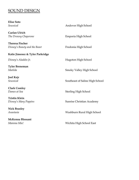# SOUND DESIGN

| <b>Elise Soto</b>               |                                 |
|---------------------------------|---------------------------------|
| Seussical                       | Andover High School             |
| Caelan Ulrich                   |                                 |
| The Drowsy Chaperone            | Emporia High School             |
| <b>Theresa Fischer</b>          |                                 |
| Disney's Beauty and the Beast   | Fredonia High School            |
| Katie Jimenez & Tyler Parkridge |                                 |
| Disney's Aladdin Jr.            | Hugoton High School             |
| <b>Tyler Breneman</b>           |                                 |
| Matilda                         | Smoky Valley High School        |
| Joel Kejr                       |                                 |
| Seussical                       | Southeast of Saline High School |
| <b>Clark Comley</b>             |                                 |
| Dames at Sea                    | Sterling High School            |
| <b>Tristin Klein</b>            |                                 |
| Disney's Mary Poppins           | Sunrise Christian Academy       |
| <b>Nick Beasley</b>             |                                 |
| Anastasia                       | Washburn Rural High School      |
| McKenna Blessant                |                                 |
| Mamma Mia!                      | Wichita High School East        |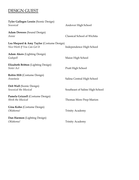# DESIGN GUEST

| Tyler Gallegos Lessin (Scenic Design)<br>Seussical                       | Andover High School             |
|--------------------------------------------------------------------------|---------------------------------|
| <b>Adam Dewees (Sound Design)</b><br>Annie                               | Classical School of Wichita     |
| Lea Shepard & Amy Taylor (Costume Design)<br>Nice Work If You Can Get It | Independence High School        |
| <b>Adam Akers</b> (Lighting Design)<br>Godspell                          | Maize High School               |
| Elizabeth Britton (Lighting Design)<br>Sister Act                        | Pratt High School               |
| Robin Hilt (Costume Design)<br>Anastasia                                 | Salina Central High School      |
| Deb Wall (Scenic Design)<br><b>Seussical the Musical</b>                 | Southeast of Saline High School |
| Pamela Grizzell (Costume Design)<br><b>Shrek the Musical</b>             | Thomas More Prep-Marion         |
| Gina Kohn (Costume Design)<br>Oklahoma!                                  | <b>Trinity Academy</b>          |
| Dan Harmon (Lighting Design)<br>Oklahoma!                                | <b>Trinity Academy</b>          |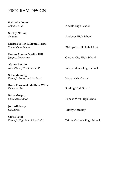#### PROGRAM DESIGN

**Gabrielle Lopez**

**Shelby Norton**

**Melissa Seiler & Maura Harms**  *The Addams Family* **Bishop Carroll High School** 

**Evelyn Alvarez & Alice Hilt** *Joseph...Dreamcoat* Garden City High School

**Alayna Bennin**

**Sofia Manning**  *Disney's Beauty and the Beast* Kapaun Mt. Carmel

**Brock Forman & Matthew White Dames at Sea** Sterling High School

**Katie Murphy** 

**Joni Atteberry** 

**Claire Leibl** *Disney's High School Musical 2* Trinity Catholic High School

*Mamma Mia!* Andale High School

*Seussical* Andover High School

*Nice Work If You Can Get It* **Independence High School** 

*Schoolhouse Rock* Topeka West High School

*Oklahoma!* Trinity Academy